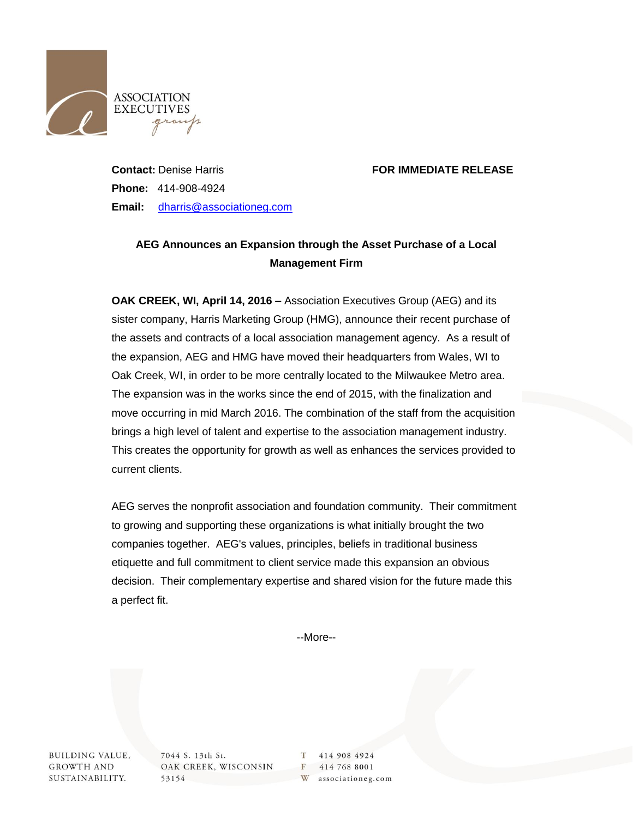

## **Contact:** Denise Harris **FOR IMMEDIATE RELEASE**

**Phone:** 414-908-4924 **Email:** [dharris@associationeg.com](mailto:dharris@associationeg.com)

## **AEG Announces an Expansion through the Asset Purchase of a Local Management Firm**

**OAK CREEK, WI, April 14, 2016 –** Association Executives Group (AEG) and its sister company, Harris Marketing Group (HMG), announce their recent purchase of the assets and contracts of a local association management agency. As a result of the expansion, AEG and HMG have moved their headquarters from Wales, WI to Oak Creek, WI, in order to be more centrally located to the Milwaukee Metro area. The expansion was in the works since the end of 2015, with the finalization and move occurring in mid March 2016. The combination of the staff from the acquisition brings a high level of talent and expertise to the association management industry. This creates the opportunity for growth as well as enhances the services provided to current clients.

AEG serves the nonprofit association and foundation community. Their commitment to growing and supporting these organizations is what initially brought the two companies together. AEG's values, principles, beliefs in traditional business etiquette and full commitment to client service made this expansion an obvious decision. Their complementary expertise and shared vision for the future made this a perfect fit.

--More--

**BUILDING VALUE, GROWTH AND** SUSTAINABILITY.

7044 S. 13th St. OAK CREEK, WISCONSIN 53154

T 414 908 4924 F 414 768 8001 W associationeg.com